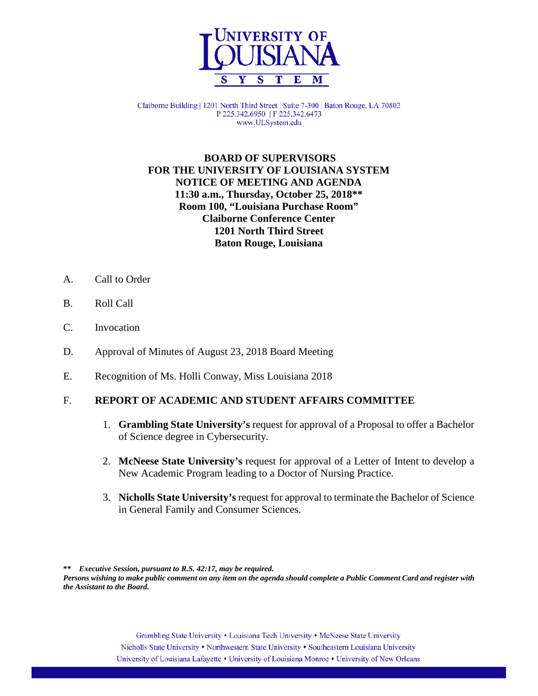

Claiborne Building | 1201 North Third Street | Suite 7-300 | Baton Rouge, LA 70802 P 225.342.6950 | F 225.342.6473 www.ULSystem.edu

# **BOARD OF SUPERVISORS FOR THE UNIVERSITY OF LOUISIANA SYSTEM NOTICE OF MEETING AND AGENDA 11:30 a.m., Thursday, October 25, 2018\*\* Room 100, "Louisiana Purchase Room" Claiborne Conference Center 1201 North Third Street Baton Rouge, Louisiana**

- A. Call to Order
- B. Roll Call
- C. Invocation
- D. Approval of Minutes of August 23, 2018 Board Meeting
- E. Recognition of Ms. Holli Conway, Miss Louisiana 2018

#### F. **REPORT OF ACADEMIC AND STUDENT AFFAIRS COMMITTEE**

- 1. **Grambling State University's** request for approval of a Proposal to offer a Bachelor of Science degree in Cybersecurity.
- 2. **McNeese State University's** request for approval of a Letter of Intent to develop a New Academic Program leading to a Doctor of Nursing Practice.
- 3. **Nicholls State University's**request for approval to terminate the Bachelor of Science in General Family and Consumer Sciences.

**\*\*** *Executive Session, pursuant to R.S. 42:17, may be required. Persons wishing to make public comment on any item on the agenda should complete a Public Comment Card and register with the Assistant to the Board.*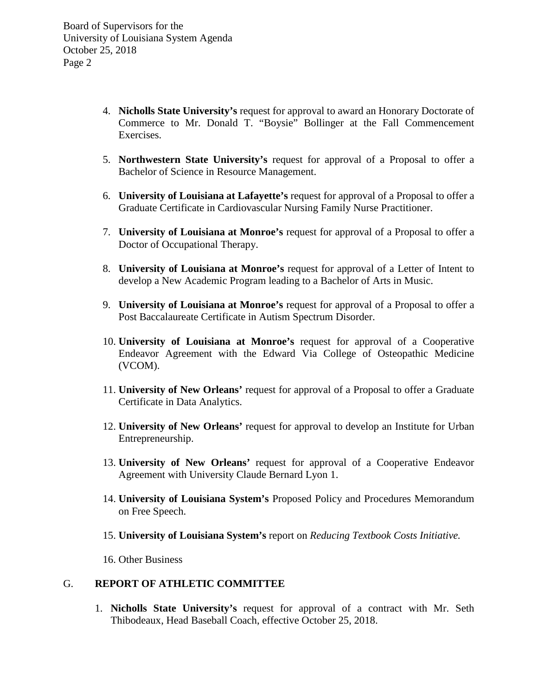- 4. **Nicholls State University's** request for approval to award an Honorary Doctorate of Commerce to Mr. Donald T. "Boysie" Bollinger at the Fall Commencement Exercises.
- 5. **Northwestern State University's** request for approval of a Proposal to offer a Bachelor of Science in Resource Management.
- 6. **University of Louisiana at Lafayette's** request for approval of a Proposal to offer a Graduate Certificate in Cardiovascular Nursing Family Nurse Practitioner.
- 7. **University of Louisiana at Monroe's** request for approval of a Proposal to offer a Doctor of Occupational Therapy.
- 8. **University of Louisiana at Monroe's** request for approval of a Letter of Intent to develop a New Academic Program leading to a Bachelor of Arts in Music.
- 9. **University of Louisiana at Monroe's** request for approval of a Proposal to offer a Post Baccalaureate Certificate in Autism Spectrum Disorder.
- 10. **University of Louisiana at Monroe's** request for approval of a Cooperative Endeavor Agreement with the Edward Via College of Osteopathic Medicine (VCOM).
- 11. **University of New Orleans'** request for approval of a Proposal to offer a Graduate Certificate in Data Analytics.
- 12. **University of New Orleans'** request for approval to develop an Institute for Urban Entrepreneurship.
- 13. **University of New Orleans'** request for approval of a Cooperative Endeavor Agreement with University Claude Bernard Lyon 1.
- 14. **University of Louisiana System's** Proposed Policy and Procedures Memorandum on Free Speech.
- 15. **University of Louisiana System's** report on *Reducing Textbook Costs Initiative.*
- 16. Other Business

#### G. **REPORT OF ATHLETIC COMMITTEE**

1. **Nicholls State University's** request for approval of a contract with Mr. Seth Thibodeaux, Head Baseball Coach, effective October 25, 2018.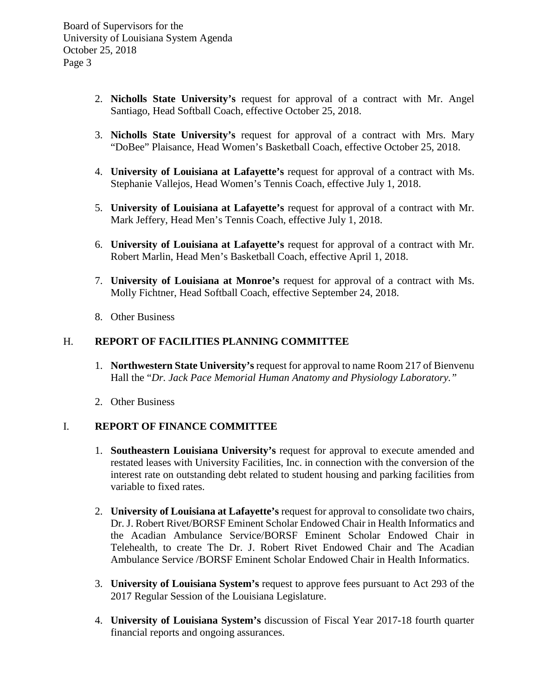- 2. **Nicholls State University's** request for approval of a contract with Mr. Angel Santiago, Head Softball Coach, effective October 25, 2018.
- 3. **Nicholls State University's** request for approval of a contract with Mrs. Mary "DoBee" Plaisance, Head Women's Basketball Coach, effective October 25, 2018.
- 4. **University of Louisiana at Lafayette's** request for approval of a contract with Ms. Stephanie Vallejos, Head Women's Tennis Coach, effective July 1, 2018.
- 5. **University of Louisiana at Lafayette's** request for approval of a contract with Mr. Mark Jeffery, Head Men's Tennis Coach, effective July 1, 2018.
- 6. **University of Louisiana at Lafayette's** request for approval of a contract with Mr. Robert Marlin, Head Men's Basketball Coach, effective April 1, 2018.
- 7. **University of Louisiana at Monroe's** request for approval of a contract with Ms. Molly Fichtner, Head Softball Coach, effective September 24, 2018.
- 8. Other Business

### H. **REPORT OF FACILITIES PLANNING COMMITTEE**

- 1. **Northwestern State University's** request for approval to name Room 217 of Bienvenu Hall the "*Dr. Jack Pace Memorial Human Anatomy and Physiology Laboratory."*
- 2. Other Business

#### I. **REPORT OF FINANCE COMMITTEE**

- 1. **Southeastern Louisiana University's** request for approval to execute amended and restated leases with University Facilities, Inc. in connection with the conversion of the interest rate on outstanding debt related to student housing and parking facilities from variable to fixed rates.
- 2. **University of Louisiana at Lafayette's** request for approval to consolidate two chairs, Dr. J. Robert Rivet/BORSF Eminent Scholar Endowed Chair in Health Informatics and the Acadian Ambulance Service/BORSF Eminent Scholar Endowed Chair in Telehealth, to create The Dr. J. Robert Rivet Endowed Chair and The Acadian Ambulance Service /BORSF Eminent Scholar Endowed Chair in Health Informatics.
- 3. **University of Louisiana System's** request to approve fees pursuant to Act 293 of the 2017 Regular Session of the Louisiana Legislature.
- 4. **University of Louisiana System's** discussion of Fiscal Year 2017-18 fourth quarter financial reports and ongoing assurances.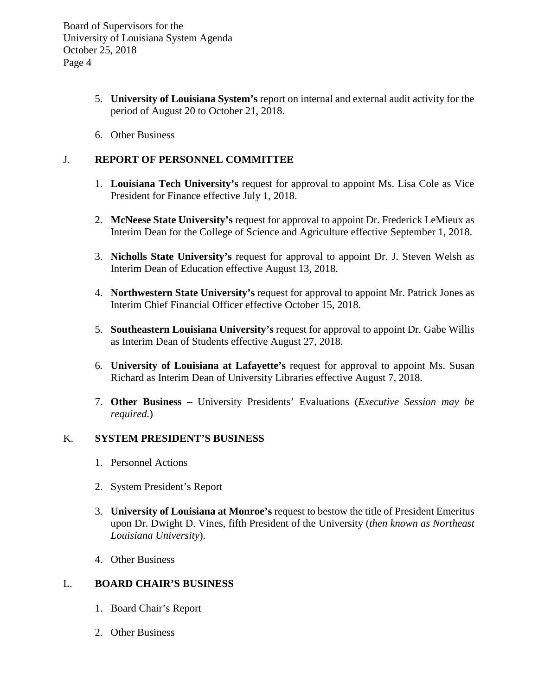- 5. **University of Louisiana System's** report on internal and external audit activity for the period of August 20 to October 21, 2018.
- 6. Other Business

# J. **REPORT OF PERSONNEL COMMITTEE**

- 1. **Louisiana Tech University's** request for approval to appoint Ms. Lisa Cole as Vice President for Finance effective July 1, 2018.
- 2. **McNeese State University's** request for approval to appoint Dr. Frederick LeMieux as Interim Dean for the College of Science and Agriculture effective September 1, 2018.
- 3. **Nicholls State University's** request for approval to appoint Dr. J. Steven Welsh as Interim Dean of Education effective August 13, 2018.
- 4. **Northwestern State University's** request for approval to appoint Mr. Patrick Jones as Interim Chief Financial Officer effective October 15, 2018.
- 5. **Southeastern Louisiana University's** request for approval to appoint Dr. Gabe Willis as Interim Dean of Students effective August 27, 2018.
- 6. **University of Louisiana at Lafayette's** request for approval to appoint Ms. Susan Richard as Interim Dean of University Libraries effective August 7, 2018.
- 7. **Other Business** University Presidents' Evaluations (*Executive Session may be required.*)

### K. **SYSTEM PRESIDENT'S BUSINESS**

- 1. Personnel Actions
- 2. System President's Report
- 3. **University of Louisiana at Monroe's** request to bestow the title of President Emeritus upon Dr. Dwight D. Vines, fifth President of the University (*then known as Northeast Louisiana University*).
- 4. Other Business

#### L. **BOARD CHAIR'S BUSINESS**

- 1. Board Chair's Report
- 2. Other Business